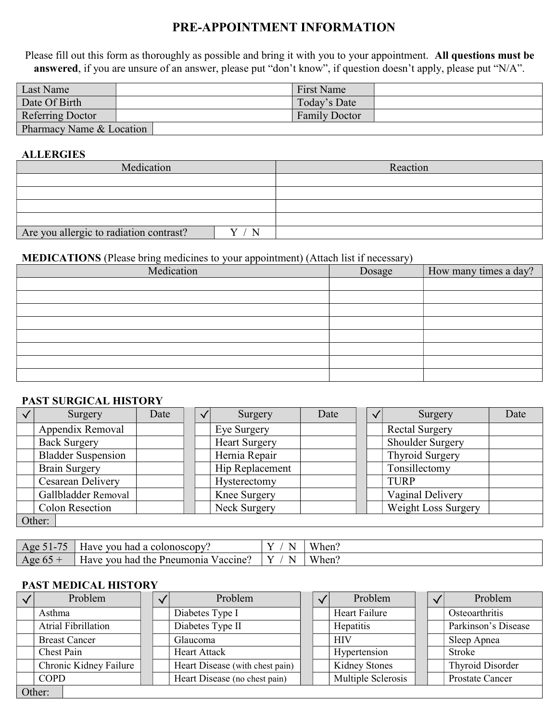# PRE-APPOINTMENT INFORMATION

Please fill out this form as thoroughly as possible and bring it with you to your appointment. All questions must be answered, if you are unsure of an answer, please put "don't know", if question doesn't apply, please put "N/A".

| Last Name                | <b>First Name</b>    |
|--------------------------|----------------------|
| Date Of Birth            | Today's Date         |
| Referring Doctor         | <b>Family Doctor</b> |
| Pharmacy Name & Location |                      |

#### **ALLERGIES**

| Medication                              | Reaction |
|-----------------------------------------|----------|
|                                         |          |
|                                         |          |
|                                         |          |
|                                         |          |
| Are you allergic to radiation contrast? |          |

### MEDICATIONS (Please bring medicines to your appointment) (Attach list if necessary)

| $\sqrt{ }$<br>Medication | <u>J</u><br>Dosage | How many times a day? |
|--------------------------|--------------------|-----------------------|
|                          |                    |                       |
|                          |                    |                       |
|                          |                    |                       |
|                          |                    |                       |
|                          |                    |                       |
|                          |                    |                       |
|                          |                    |                       |
|                          |                    |                       |

#### PAST SURGICAL HISTORY

| Surgery                   | Date | $\checkmark$ | Surgery              | Date | Surgery                    | Date |
|---------------------------|------|--------------|----------------------|------|----------------------------|------|
| Appendix Removal          |      |              | Eye Surgery          |      | <b>Rectal Surgery</b>      |      |
| <b>Back Surgery</b>       |      |              | <b>Heart Surgery</b> |      | Shoulder Surgery           |      |
| <b>Bladder Suspension</b> |      |              | Hernia Repair        |      | Thyroid Surgery            |      |
| <b>Brain Surgery</b>      |      |              | Hip Replacement      |      | Tonsillectomy              |      |
| <b>Cesarean Delivery</b>  |      |              | Hysterectomy         |      | <b>TURP</b>                |      |
| Gallbladder Removal       |      |              | Knee Surgery         |      | Vaginal Delivery           |      |
| <b>Colon Resection</b>    |      |              | Neck Surgery         |      | <b>Weight Loss Surgery</b> |      |
| Other:                    |      |              |                      |      |                            |      |

| 75<br>$A$ oe | $ -$<br>vou<br>l a colonoscopy<br>ave<br>had                           | - -<br>N | <b>TT 71</b><br>When. |
|--------------|------------------------------------------------------------------------|----------|-----------------------|
| Age<br>ν.    | ∽<br>had<br><b>VOU</b><br>the<br>$\alpha$ accine.<br>iave<br>Pneumonia | - -<br>N | <b>TT 71</b><br>When. |

#### PAST MEDICAL HISTORY

|                        | Problem              |                  | Problem                         |  |           | Problem            |  | Problem                |
|------------------------|----------------------|------------------|---------------------------------|--|-----------|--------------------|--|------------------------|
|                        | Asthma               |                  | Diabetes Type I                 |  |           | Heart Failure      |  | Osteoarthritis         |
|                        | Atrial Fibrillation  | Diabetes Type II |                                 |  | Hepatitis |                    |  | Parkinson's Disease    |
|                        | <b>Breast Cancer</b> |                  | Glaucoma                        |  |           | <b>HIV</b>         |  | Sleep Apnea            |
|                        | Chest Pain           |                  | <b>Heart Attack</b>             |  |           | Hypertension       |  | <b>Stroke</b>          |
| Chronic Kidney Failure |                      |                  | Heart Disease (with chest pain) |  |           | Kidney Stones      |  | Thyroid Disorder       |
| <b>COPD</b>            |                      |                  | Heart Disease (no chest pain)   |  |           | Multiple Sclerosis |  | <b>Prostate Cancer</b> |
| Other:                 |                      |                  |                                 |  |           |                    |  |                        |